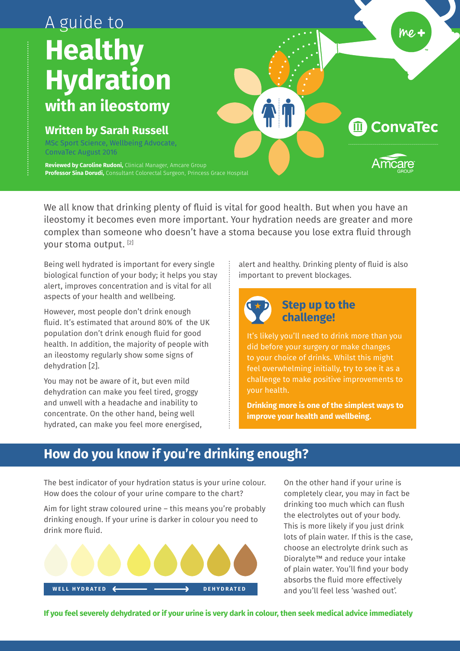# A guide to **Healthy Hydration with an ileostomy** AT **ConvaTec**  $\widehat{m}$ **Written by Sarah Russell** MSc Sport Science, Wellbeing Advocate, ConvaTec August 2016 **Reviewed by Caroline Rudoni,** Clinical Manager, Amcare Group **Professor Sina Dorudi,** Consultant Colorectal Surgeon, Princess Grace Hospital

We all know that drinking plenty of fluid is vital for good health. But when you have an ileostomy it becomes even more important. Your hydration needs are greater and more complex than someone who doesn't have a stoma because you lose extra fluid through your stoma output. [2]

Being well hydrated is important for every single biological function of your body; it helps you stay alert, improves concentration and is vital for all aspects of your health and wellbeing.

However, most people don't drink enough fluid. It's estimated that around 80% of the UK population don't drink enough fluid for good health. In addition, the majority of people with an ileostomy regularly show some signs of dehydration [2].

You may not be aware of it, but even mild dehydration can make you feel tired, groggy and unwell with a headache and inability to concentrate. On the other hand, being well hydrated, can make you feel more energised, alert and healthy. Drinking plenty of fluid is also important to prevent blockages.

me,



# **Step up to the challenge!**

It's likely you'll need to drink more than you did before your surgery or make changes to your choice of drinks. Whilst this might feel overwhelming initially, try to see it as a challenge to make positive improvements to your health.

**Drinking more is one of the simplest ways to improve your health and wellbeing.**

# **How do you know if you're drinking enough?**

The best indicator of your hydration status is your urine colour. How does the colour of your urine compare to the chart?

Aim for light straw coloured urine – this means you're probably drinking enough. If your urine is darker in colour you need to drink more fluid.



On the other hand if your urine is completely clear, you may in fact be drinking too much which can flush the electrolytes out of your body. This is more likely if you just drink lots of plain water. If this is the case, choose an electrolyte drink such as Dioralyte™ and reduce your intake of plain water. You'll find your body absorbs the fluid more effectively and you'll feel less 'washed out'.

**If you feel severely dehydrated or if your urine is very dark in colour, then seek medical advice immediately**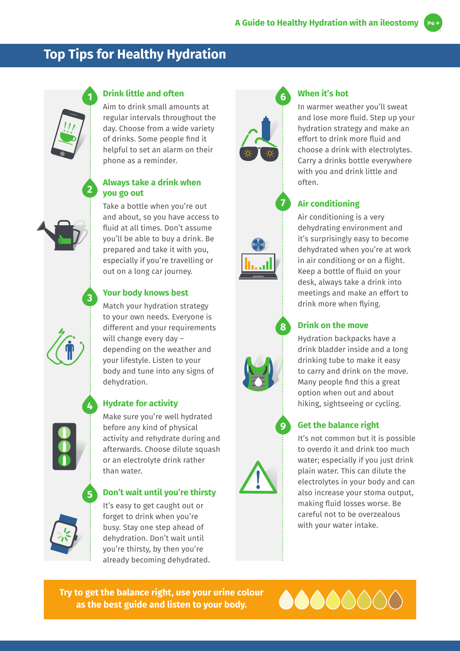# **Top Tips for Healthy Hydration**



**2**

**3**

**4**

**5**

### **Drink little and often**

Aim to drink small amounts at regular intervals throughout the day. Choose from a wide variety of drinks. Some people find it helpful to set an alarm on their phone as a reminder.

#### **Always take a drink when you go out**

Take a bottle when you're out and about, so you have access to fluid at all times. Don't assume you'll be able to buy a drink. Be prepared and take it with you, especially if you're travelling or out on a long car journey.

### **Your body knows best**

Match your hydration strategy to your own needs. Everyone is different and your requirements will change every day – depending on the weather and your lifestyle. Listen to your body and tune into any signs of dehydration.



### **Hydrate for activity**

Make sure you're well hydrated before any kind of physical activity and rehydrate during and afterwards. Choose dilute squash or an electrolyte drink rather than water.

### **Don't wait until you're thirsty**



It's easy to get caught out or forget to drink when you're busy. Stay one step ahead of dehydration. Don't wait until you're thirsty, by then you're already becoming dehydrated.



**7**

**8**

**9**

## **When it's hot**

In warmer weather you'll sweat and lose more fluid. Step up your hydration strategy and make an effort to drink more fluid and choose a drink with electrolytes. Carry a drinks bottle everywhere with you and drink little and often.

### **Air conditioning**

Air conditioning is a very dehydrating environment and it's surprisingly easy to become dehydrated when you're at work in air conditiong or on a flight. Keep a bottle of fluid on your desk, always take a drink into meetings and make an effort to drink more when flying.

### **Drink on the move**

Hydration backpacks have a drink bladder inside and a long drinking tube to make it easy to carry and drink on the move. Many people find this a great option when out and about hiking, sightseeing or cycling.

### **Get the balance right**

It's not common but it is possible to overdo it and drink too much water; especially if you just drink plain water. This can dilute the electrolytes in your body and can also increase your stoma output, making fluid losses worse. Be careful not to be overzealous with your water intake.

**Try to get the balance right, use your urine colour as the best guide and listen to your body.**

000000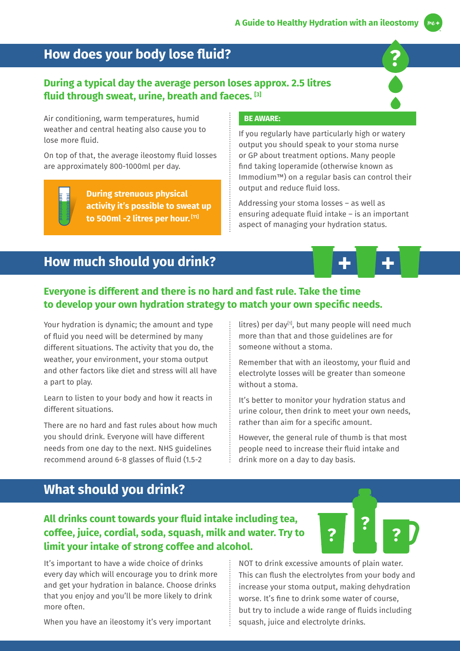**?**

# **How does your body lose fluid?**

### **During a typical day the average person loses approx. 2.5 litres fluid through sweat, urine, breath and faeces. [3]**

Air conditioning, warm temperatures, humid weather and central heating also cause you to lose more fluid.

On top of that, the average ileostomy fluid losses are approximately 800-1000ml per day.

> **During strenuous physical activity it's possible to sweat up to 500ml -2 litres per hour. [11]**

#### **BE AWARE:**

If you regularly have particularly high or watery output you should speak to your stoma nurse or GP about treatment options. Many people find taking loperamide (otherwise known as Immodium™) on a regular basis can control their output and reduce fluid loss.

Addressing your stoma losses – as well as ensuring adequate fluid intake – is an important aspect of managing your hydration status.

# **How much should you drink?**

### **Everyone is different and there is no hard and fast rule. Take the time to develop your own hydration strategy to match your own specific needs.**

Your hydration is dynamic; the amount and type of fluid you need will be determined by many different situations. The activity that you do, the weather, your environment, your stoma output and other factors like diet and stress will all have a part to play.

Learn to listen to your body and how it reacts in different situations.

There are no hard and fast rules about how much you should drink. Everyone will have different needs from one day to the next. NHS guidelines recommend around 6-8 glasses of fluid (1.5-2

litres) per day<sup>[1]</sup>, but many people will need much more than that and those guidelines are for someone without a stoma.

Remember that with an ileostomy, your fluid and electrolyte losses will be greater than someone without a stoma.

It's better to monitor your hydration status and urine colour, then drink to meet your own needs, rather than aim for a specific amount.

However, the general rule of thumb is that most people need to increase their fluid intake and drink more on a day to day basis.

# **What should you drink?**

# **All drinks count towards your fluid intake including tea, coffee, juice, cordial, soda, squash, milk and water. Try to limit your intake of strong coffee and alcohol.**

It's important to have a wide choice of drinks every day which will encourage you to drink more and get your hydration in balance. Choose drinks that you enjoy and you'll be more likely to drink more often.

When you have an ileostomy it's very important

NOT to drink excessive amounts of plain water. This can flush the electrolytes from your body and increase your stoma output, making dehydration worse. It's fine to drink some water of course, but try to include a wide range of fluids including squash, juice and electrolyte drinks.

**? ? ?**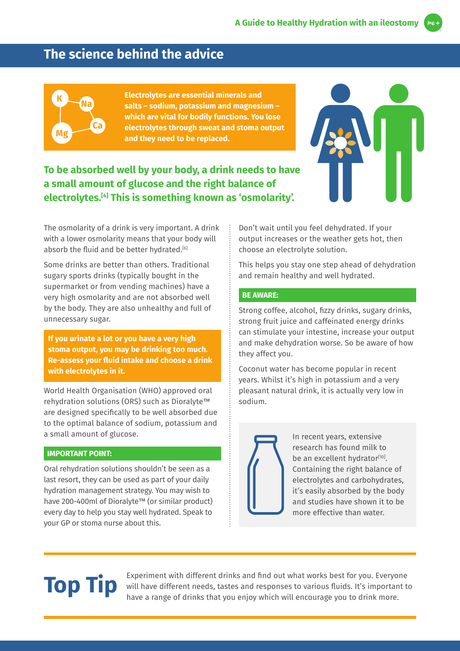# **The science behind the advice**



**Electrolytes are essential minerals and salts – sodium, potassium and magnesium – which are vital for bodily functions. You lose electrolytes through sweat and stoma output and they need to be replaced.**

# **To be absorbed well by your body, a drink needs to have a small amount of glucose and the right balance of electrolytes.[4] This is something known as 'osmolarity'.**



The osmolarity of a drink is very important. A drink with a lower osmolarity means that your body will absorb the fluid and be better hydrated.<sup>[6]</sup>

Some drinks are better than others. Traditional sugary sports drinks (typically bought in the supermarket or from vending machines) have a very high osmolarity and are not absorbed well by the body. They are also unhealthy and full of unnecessary sugar.

**If you urinate a lot or you have a very high stoma output, you may be drinking too much. Re-assess your fluid intake and choose a drink with electrolytes in it.**

World Health Organisation (WHO) approved oral rehydration solutions (ORS) such as Dioralyte™ are designed specifically to be well absorbed due to the optimal balance of sodium, potassium and a small amount of glucose.

#### **IMPORTANT POINT:**

Oral rehydration solutions shouldn't be seen as a last resort, they can be used as part of your daily hydration management strategy. You may wish to have 200-400ml of Dioralyte™ (or similar product) every day to help you stay well hydrated. Speak to your GP or stoma nurse about this.

Don't wait until you feel dehydrated. If your output increases or the weather gets hot, then choose an electrolyte solution.

This helps you stay one step ahead of dehydration and remain healthy and well hydrated.

#### **BE AWARE:**

Strong coffee, alcohol, fizzy drinks, sugary drinks, strong fruit juice and caffeinated energy drinks can stimulate your intestine, increase your output and make dehydration worse. So be aware of how they affect you.

Coconut water has become popular in recent years. Whilst it's high in potassium and a very pleasant natural drink, it is actually very low in sodium.



In recent years, extensive research has found milk to be an excellent hydrator<sup>[10]</sup>. Containing the right balance of electrolytes and carbohydrates, it's easily absorbed by the body and studies have shown it to be more effective than water.

**Top Tip** Experiment with different drinks and find out what works best for you. Everyone<br>
Will have different needs, tastes and responses to various fluids. It's important to<br>
have a range of drinks that you eniov which w will have different needs, tastes and responses to various fluids. It's important to have a range of drinks that you enjoy which will encourage you to drink more.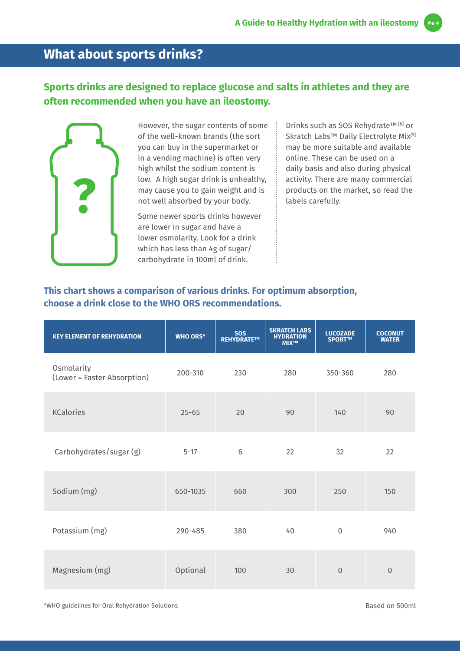# **What about sports drinks?**

# **Sports drinks are designed to replace glucose and salts in athletes and they are often recommended when you have an ileostomy.**



However, the sugar contents of some of the well-known brands (the sort you can buy in the supermarket or in a vending machine) is often very high whilst the sodium content is low. A high sugar drink is unhealthy, may cause you to gain weight and is not well absorbed by your body.

Some newer sports drinks however are lower in sugar and have a lower osmolarity. Look for a drink which has less than 4g of sugar/ carbohydrate in 100ml of drink.

Drinks such as SOS Rehydrate™ [8] or Skratch Labs™ Daily Electrolyte Mix<sup>[9]</sup> may be more suitable and available online. These can be used on a daily basis and also during physical activity. There are many commercial products on the market, so read the labels carefully.

### **This chart shows a comparison of various drinks. For optimum absorption, choose a drink close to the WHO ORS recommendations.**

| <b>KEY ELEMENT OF REHYDRATION</b>         | <b>WHO ORS*</b> | <b>SOS</b><br>REHYDRATE™ | <b>SKRATCH LABS</b><br><b>HYDRATION</b><br><b>MIX™</b> | <b>LUCOZADE</b><br>SPORT™ | <b>COCONUT</b><br><b>WATER</b> |
|-------------------------------------------|-----------------|--------------------------|--------------------------------------------------------|---------------------------|--------------------------------|
| Osmolarity<br>(Lower = Faster Absorption) | 200-310         | 230                      | 280                                                    | 350-360                   | 280                            |
| <b>KCalories</b>                          | $25 - 65$       | 20                       | 90                                                     | 140                       | 90                             |
| Carbohydrates/sugar (g)                   | $5 - 17$        | 6                        | 22                                                     | 32                        | 22                             |
| Sodium (mg)                               | 650-1035        | 660                      | 300                                                    | 250                       | 150                            |
| Potassium (mg)                            | 290-485         | 380                      | 40                                                     | $\overline{0}$            | 940                            |
| Magnesium (mg)                            | Optional        | 100                      | 30                                                     | $\Omega$                  | $\Omega$                       |

\*WHO guidelines for Oral Rehydration Solutions Based on 500ml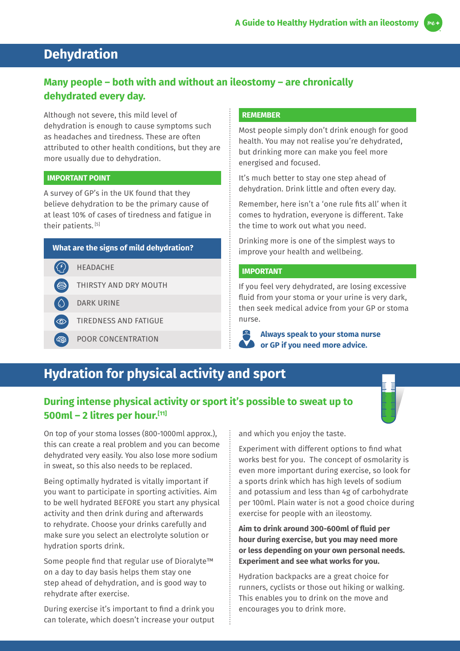# **Dehydration**

# **Many people – both with and without an ileostomy – are chronically dehydrated every day.**

Although not severe, this mild level of dehydration is enough to cause symptoms such as headaches and tiredness. These are often attributed to other health conditions, but they are more usually due to dehydration.

#### **IMPORTANT POINT**

A survey of GP's in the UK found that they believe dehydration to be the primary cause of at least 10% of cases of tiredness and fatigue in their patients.<sup>[5]</sup>

#### **What are the signs of mild dehydration?**

- $\left($ HEADACHE
	- THIRSTY AND DRY MOUTH
	- DARK URINE
- ් ග TIREDNESS AND FATIGUE
- POOR CONCENTRATION ් දීපී

#### **REMEMBER**

Most people simply don't drink enough for good health. You may not realise you're dehydrated, but drinking more can make you feel more energised and focused.

It's much better to stay one step ahead of dehydration. Drink little and often every day.

Remember, here isn't a 'one rule fits all' when it comes to hydration, everyone is different. Take the time to work out what you need.

Drinking more is one of the simplest ways to improve your health and wellbeing.

#### **IMPORTANT**

If you feel very dehydrated, are losing excessive fluid from your stoma or your urine is very dark, then seek medical advice from your GP or stoma nurse.

**Always speak to your stoma nurse or GP if you need more advice.**

# **Hydration for physical activity and sport**

# **During intense physical activity or sport it's possible to sweat up to 500ml – 2 litres per hour.[11]**

On top of your stoma losses (800-1000ml approx.), this can create a real problem and you can become dehydrated very easily. You also lose more sodium in sweat, so this also needs to be replaced.

Being optimally hydrated is vitally important if you want to participate in sporting activities. Aim to be well hydrated BEFORE you start any physical activity and then drink during and afterwards to rehydrate. Choose your drinks carefully and make sure you select an electrolyte solution or hydration sports drink.

Some people find that regular use of Dioralyte™ on a day to day basis helps them stay one step ahead of dehydration, and is good way to rehydrate after exercise.

During exercise it's important to find a drink you can tolerate, which doesn't increase your output and which you enjoy the taste.

Experiment with different options to find what works best for you. The concept of osmolarity is even more important during exercise, so look for a sports drink which has high levels of sodium and potassium and less than 4g of carbohydrate per 100ml. Plain water is not a good choice during exercise for people with an ileostomy.

**Aim to drink around 300-600ml of fluid per hour during exercise, but you may need more or less depending on your own personal needs. Experiment and see what works for you.**

Hydration backpacks are a great choice for runners, cyclists or those out hiking or walking. This enables you to drink on the move and encourages you to drink more.

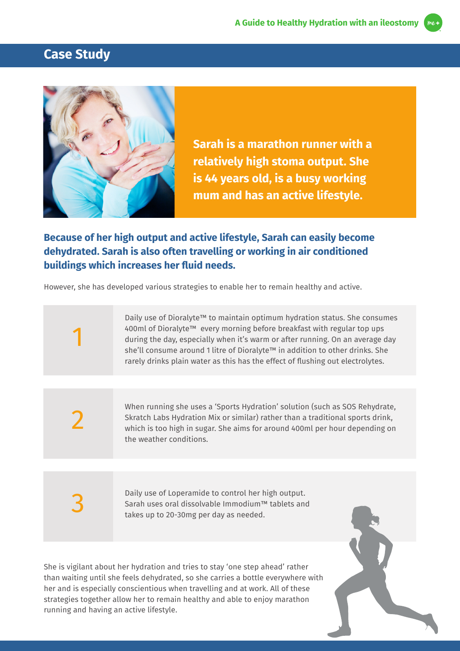



**Sarah is a marathon runner with a relatively high stoma output. She is 44 years old, is a busy working mum and has an active lifestyle.**

# **Because of her high output and active lifestyle, Sarah can easily become dehydrated. Sarah is also often travelling or working in air conditioned buildings which increases her fluid needs.**

However, she has developed various strategies to enable her to remain healthy and active.

Daily use of Dioralyte™ to maintain optimum hydration status. She consumes 400ml of Dioralyte™ every morning before breakfast with regular top ups during the day, especially when it's warm or after running. On an average day she'll consume around 1 litre of Dioralyte™ in addition to other drinks. She rarely drinks plain water as this has the effect of flushing out electrolytes.

2

1

When running she uses a 'Sports Hydration' solution (such as SOS Rehydrate, Skratch Labs Hydration Mix or similar) rather than a traditional sports drink, which is too high in sugar. She aims for around 400ml per hour depending on the weather conditions.

3

Daily use of Loperamide to control her high output. Sarah uses oral dissolvable Immodium™ tablets and takes up to 20-30mg per day as needed.

She is vigilant about her hydration and tries to stay 'one step ahead' rather than waiting until she feels dehydrated, so she carries a bottle everywhere with her and is especially conscientious when travelling and at work. All of these strategies together allow her to remain healthy and able to enjoy marathon running and having an active lifestyle.

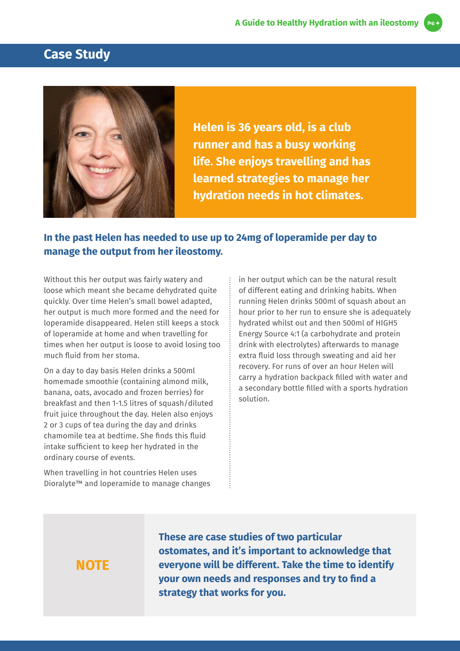# **Case Study**



**Helen is 36 years old, is a club runner and has a busy working life. She enjoys travelling and has learned strategies to manage her hydration needs in hot climates.**

# **In the past Helen has needed to use up to 24mg of loperamide per day to manage the output from her ileostomy.**

Without this her output was fairly watery and loose which meant she became dehydrated quite quickly. Over time Helen's small bowel adapted, her output is much more formed and the need for loperamide disappeared. Helen still keeps a stock of loperamide at home and when travelling for times when her output is loose to avoid losing too much fluid from her stoma.

On a day to day basis Helen drinks a 500ml homemade smoothie (containing almond milk, banana, oats, avocado and frozen berries) for breakfast and then 1-1.5 litres of squash/diluted fruit juice throughout the day. Helen also enjoys 2 or 3 cups of tea during the day and drinks chamomile tea at bedtime. She finds this fluid intake sufficient to keep her hydrated in the ordinary course of events.

When travelling in hot countries Helen uses Dioralyte™ and loperamide to manage changes

in her output which can be the natural result of different eating and drinking habits. When running Helen drinks 500ml of squash about an hour prior to her run to ensure she is adequately hydrated whilst out and then 500ml of HIGH5 Energy Source 4:1 (a carbohydrate and protein drink with electrolytes) afterwards to manage extra fluid loss through sweating and aid her recovery. For runs of over an hour Helen will carry a hydration backpack filled with water and a secondary bottle filled with a sports hydration solution.

# **NOTE**

**These are case studies of two particular ostomates, and it's important to acknowledge that everyone will be different. Take the time to identify your own needs and responses and try to find a strategy that works for you.**